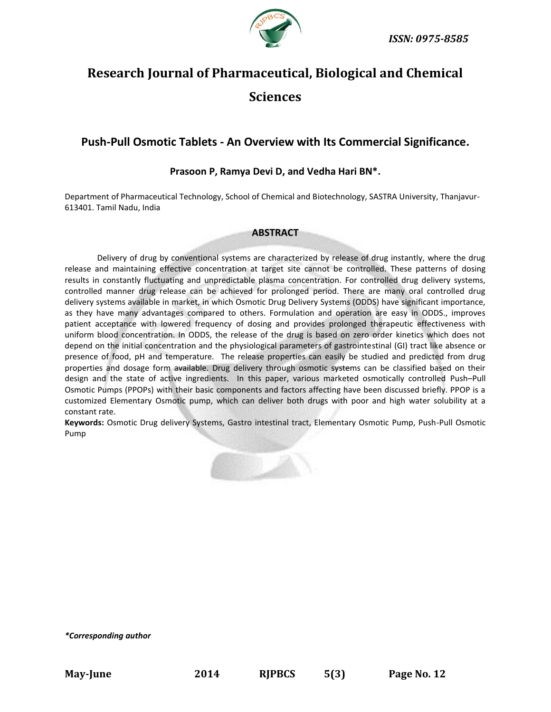

# **Research Journal of Pharmaceutical, Biological and Chemical Sciences**

# **Push-Pull Osmotic Tablets - An Overview with Its Commercial Significance.**

# **Prasoon P, Ramya Devi D, and Vedha Hari BN\*.**

Department of Pharmaceutical Technology, School of Chemical and Biotechnology, SASTRA University, Thanjavur-613401. Tamil Nadu, India

### **ABSTRACT**

Delivery of drug by conventional systems are characterized by release of drug instantly, where the drug release and maintaining effective concentration at target site cannot be controlled. These patterns of dosing results in constantly fluctuating and unpredictable plasma concentration. For controlled drug delivery systems, controlled manner drug release can be achieved for prolonged period. There are many oral controlled drug delivery systems available in market, in which Osmotic Drug Delivery Systems (ODDS) have significant importance, as they have many advantages compared to others. Formulation and operation are easy in ODDS., improves patient acceptance with lowered frequency of dosing and provides prolonged therapeutic effectiveness with uniform blood concentration. In ODDS, the release of the drug is based on zero order kinetics which does not depend on the initial concentration and the physiological parameters of gastrointestinal (GI) tract like absence or presence of food, pH and temperature. The release properties can easily be studied and predicted from drug properties and dosage form available. Drug delivery through osmotic systems can be classified based on their design and the state of active ingredients. In this paper, various marketed osmotically controlled Push–Pull Osmotic Pumps (PPOPs) with their basic components and factors affecting have been discussed briefly. PPOP is a customized Elementary Osmotic pump, which can deliver both drugs with poor and high water solubility at a constant rate.

**Keywords:** Osmotic Drug delivery Systems, Gastro intestinal tract, Elementary Osmotic Pump, Push-Pull Osmotic Pump



*\*Corresponding author*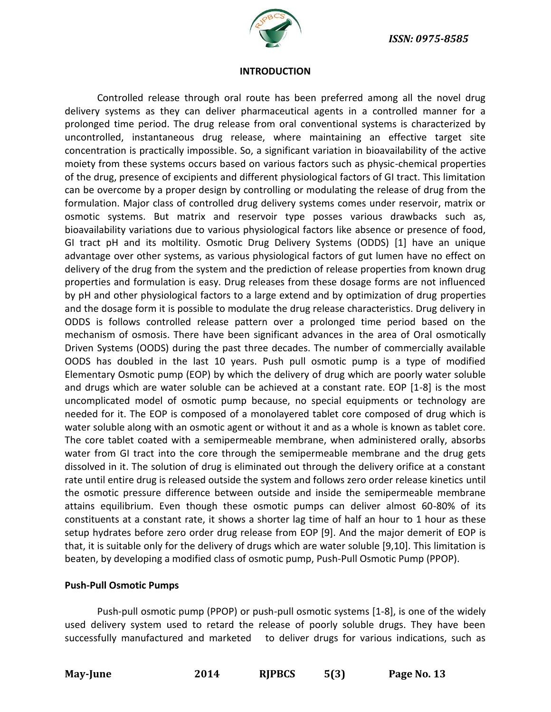

### **INTRODUCTION**

Controlled release through oral route has been preferred among all the novel drug delivery systems as they can deliver pharmaceutical agents in a controlled manner for a prolonged time period. The drug release from oral conventional systems is characterized by uncontrolled, instantaneous drug release, where maintaining an effective target site concentration is practically impossible. So, a significant variation in bioavailability of the active moiety from these systems occurs based on various factors such as physic-chemical properties of the drug, presence of excipients and different physiological factors of GI tract. This limitation can be overcome by a proper design by controlling or modulating the release of drug from the formulation. Major class of controlled drug delivery systems comes under reservoir, matrix or osmotic systems. But matrix and reservoir type posses various drawbacks such as, bioavailability variations due to various physiological factors like absence or presence of food, GI tract pH and its moltility. Osmotic Drug Delivery Systems (ODDS) [1] have an unique advantage over other systems, as various physiological factors of gut lumen have no effect on delivery of the drug from the system and the prediction of release properties from known drug properties and formulation is easy. Drug releases from these dosage forms are not influenced by pH and other physiological factors to a large extend and by optimization of drug properties and the dosage form it is possible to modulate the drug release characteristics. Drug delivery in ODDS is follows controlled release pattern over a prolonged time period based on the mechanism of osmosis. There have been significant advances in the area of Oral osmotically Driven Systems (OODS) during the past three decades. The number of commercially available OODS has doubled in the last 10 years. Push pull osmotic pump is a type of modified Elementary Osmotic pump (EOP) by which the delivery of drug which are poorly water soluble and drugs which are water soluble can be achieved at a constant rate. EOP [1-8] is the most uncomplicated model of osmotic pump because, no special equipments or technology are needed for it. The EOP is composed of a monolayered tablet core composed of drug which is water soluble along with an osmotic agent or without it and as a whole is known as tablet core. The core tablet coated with a semipermeable membrane, when administered orally, absorbs water from GI tract into the core through the semipermeable membrane and the drug gets dissolved in it. The solution of drug is eliminated out through the delivery orifice at a constant rate until entire drug is released outside the system and follows zero order release kinetics until the osmotic pressure difference between outside and inside the semipermeable membrane attains equilibrium. Even though these osmotic pumps can deliver almost 60-80% of its constituents at a constant rate, it shows a shorter lag time of half an hour to 1 hour as these setup hydrates before zero order drug release from EOP [9]. And the major demerit of EOP is that, it is suitable only for the delivery of drugs which are water soluble [9,10]. This limitation is beaten, by developing a modified class of osmotic pump, Push-Pull Osmotic Pump (PPOP).

### **Push-Pull Osmotic Pumps**

Push-pull osmotic pump (PPOP) or push-pull osmotic systems [1-8], is one of the widely used delivery system used to retard the release of poorly soluble drugs. They have been successfully manufactured and marketed to deliver drugs for various indications, such as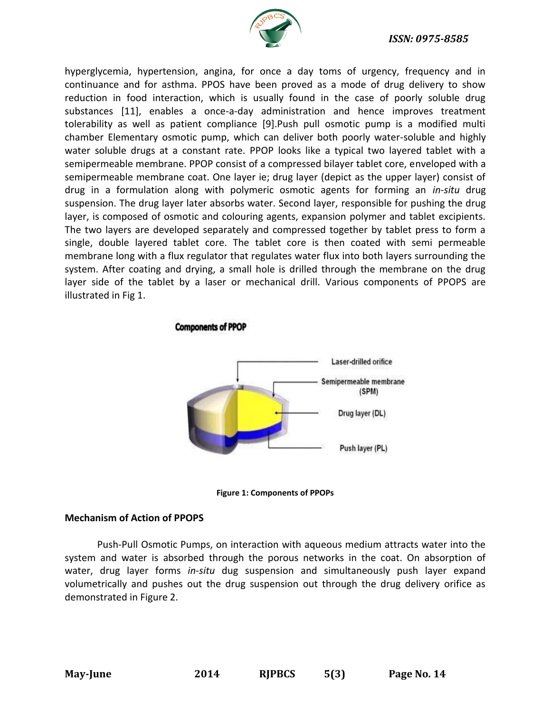

hyperglycemia, hypertension, angina, for once a day toms of urgency, frequency and in continuance and for asthma. PPOS have been proved as a mode of drug delivery to show reduction in food interaction, which is usually found in the case of poorly soluble drug substances [11], enables a once-a-day administration and hence improves treatment tolerability as well as patient compliance [9].Push pull osmotic pump is a modified multi chamber Elementary osmotic pump, which can deliver both poorly water-soluble and highly water soluble drugs at a constant rate. PPOP looks like a typical two layered tablet with a semipermeable membrane. PPOP consist of a compressed bilayer tablet core, enveloped with a semipermeable membrane coat. One layer ie; drug layer (depict as the upper layer) consist of drug in a formulation along with polymeric osmotic agents for forming an *in-situ* drug suspension. The drug layer later absorbs water. Second layer, responsible for pushing the drug layer, is composed of osmotic and colouring agents, expansion polymer and tablet excipients. The two layers are developed separately and compressed together by tablet press to form a single, double layered tablet core. The tablet core is then coated with semi permeable membrane long with a flux regulator that regulates water flux into both layers surrounding the system. After coating and drying, a small hole is drilled through the membrane on the drug layer side of the tablet by a laser or mechanical drill. Various components of PPOPS are illustrated in Fig 1.





**Figure 1: Components of PPOPs**

# **Mechanism of Action of PPOPS**

Push-Pull Osmotic Pumps, on interaction with aqueous medium attracts water into the system and water is absorbed through the porous networks in the coat. On absorption of water, drug layer forms *in-situ* dug suspension and simultaneously push layer expand volumetrically and pushes out the drug suspension out through the drug delivery orifice as demonstrated in Figure 2.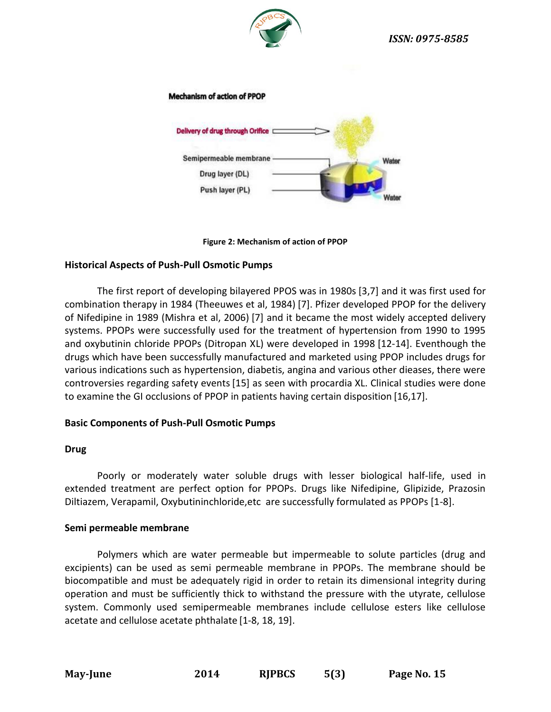

### **Mechanism of action of PPOP**





# **Historical Aspects of Push-Pull Osmotic Pumps**

The first report of developing bilayered PPOS was in 1980s [3,7] and it was first used for combination therapy in 1984 (Theeuwes et al, 1984) [7]. Pfizer developed PPOP for the delivery of Nifedipine in 1989 (Mishra et al, 2006) [7] and it became the most widely accepted delivery systems. PPOPs were successfully used for the treatment of hypertension from 1990 to 1995 and oxybutinin chloride PPOPs (Ditropan XL) were developed in 1998 [12-14]. Eventhough the drugs which have been successfully manufactured and marketed using PPOP includes drugs for various indications such as hypertension, diabetis, angina and various other dieases, there were controversies regarding safety events[15] as seen with procardia XL. Clinical studies were done to examine the GI occlusions of PPOP in patients having certain disposition [16,17].

### **Basic Components of Push-Pull Osmotic Pumps**

### **Drug**

Poorly or moderately water soluble drugs with lesser biological half-life, used in extended treatment are perfect option for PPOPs. Drugs like Nifedipine, Glipizide, Prazosin Diltiazem, Verapamil, Oxybutininchloride,etc are successfully formulated as PPOPs [1-8].

### **Semi permeable membrane**

Polymers which are water permeable but impermeable to solute particles (drug and excipients) can be used as semi permeable membrane in PPOPs. The membrane should be biocompatible and must be adequately rigid in order to retain its dimensional integrity during operation and must be sufficiently thick to withstand the pressure with the utyrate, cellulose system. Commonly used semipermeable membranes include cellulose esters like cellulose acetate and cellulose acetate phthalate [1-8, 18, 19].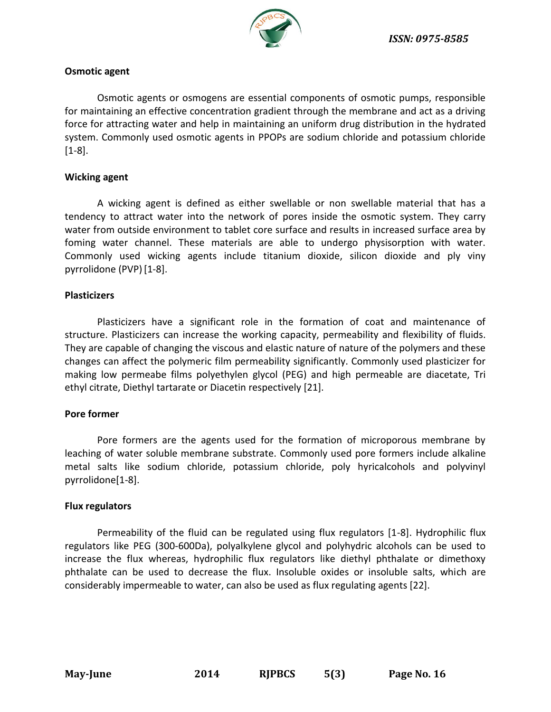

### **Osmotic agent**

Osmotic agents or osmogens are essential components of osmotic pumps, responsible for maintaining an effective concentration gradient through the membrane and act as a driving force for attracting water and help in maintaining an uniform drug distribution in the hydrated system. Commonly used osmotic agents in PPOPs are sodium chloride and potassium chloride [1-8].

### **Wicking agent**

A wicking agent is defined as either swellable or non swellable material that has a tendency to attract water into the network of pores inside the osmotic system. They carry water from outside environment to tablet core surface and results in increased surface area by foming water channel. These materials are able to undergo physisorption with water. Commonly used wicking agents include titanium dioxide, silicon dioxide and ply viny pyrrolidone (PVP) [1-8].

### **Plasticizers**

Plasticizers have a significant role in the formation of coat and maintenance of structure. Plasticizers can increase the working capacity, permeability and flexibility of fluids. They are capable of changing the viscous and elastic nature of nature of the polymers and these changes can affect the polymeric film permeability significantly. Commonly used plasticizer for making low permeabe films polyethylen glycol (PEG) and high permeable are diacetate, Tri ethyl citrate, Diethyl tartarate or Diacetin respectively [21].

# **Pore former**

Pore formers are the agents used for the formation of microporous membrane by leaching of water soluble membrane substrate. Commonly used pore formers include alkaline metal salts like sodium chloride, potassium chloride, poly hyricalcohols and polyvinyl pyrrolidone[1-8].

### **Flux regulators**

Permeability of the fluid can be regulated using flux regulators [1-8]. Hydrophilic flux regulators like PEG (300-600Da), polyalkylene glycol and polyhydric alcohols can be used to increase the flux whereas, hydrophilic flux regulators like diethyl phthalate or dimethoxy phthalate can be used to decrease the flux. Insoluble oxides or insoluble salts, which are considerably impermeable to water, can also be used as flux regulating agents [22].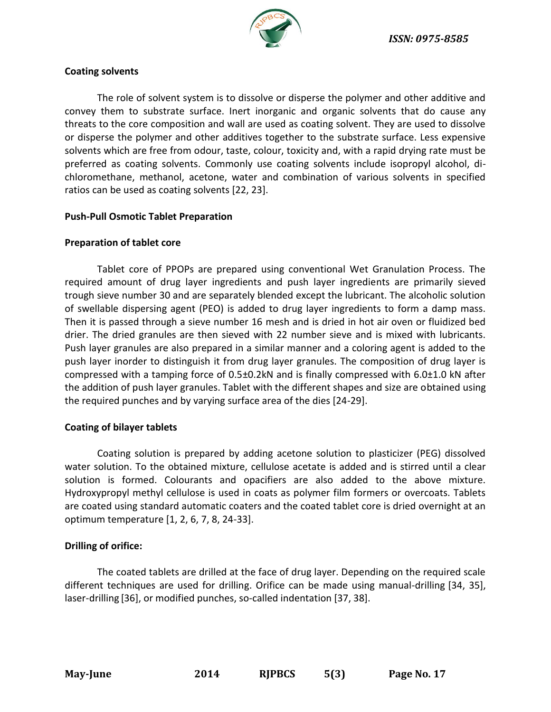

### **Coating solvents**

The role of solvent system is to dissolve or disperse the polymer and other additive and convey them to substrate surface. Inert inorganic and organic solvents that do cause any threats to the core composition and wall are used as coating solvent. They are used to dissolve or disperse the polymer and other additives together to the substrate surface. Less expensive solvents which are free from odour, taste, colour, toxicity and, with a rapid drying rate must be preferred as coating solvents. Commonly use coating solvents include isopropyl alcohol, dichloromethane, methanol, acetone, water and combination of various solvents in specified ratios can be used as coating solvents [22, 23].

# **Push-Pull Osmotic Tablet Preparation**

# **Preparation of tablet core**

Tablet core of PPOPs are prepared using conventional Wet Granulation Process. The required amount of drug layer ingredients and push layer ingredients are primarily sieved trough sieve number 30 and are separately blended except the lubricant. The alcoholic solution of swellable dispersing agent (PEO) is added to drug layer ingredients to form a damp mass. Then it is passed through a sieve number 16 mesh and is dried in hot air oven or fluidized bed drier. The dried granules are then sieved with 22 number sieve and is mixed with lubricants. Push layer granules are also prepared in a similar manner and a coloring agent is added to the push layer inorder to distinguish it from drug layer granules. The composition of drug layer is compressed with a tamping force of 0.5±0.2kN and is finally compressed with 6.0±1.0 kN after the addition of push layer granules. Tablet with the different shapes and size are obtained using the required punches and by varying surface area of the dies [24-29].

# **Coating of bilayer tablets**

Coating solution is prepared by adding acetone solution to plasticizer (PEG) dissolved water solution. To the obtained mixture, cellulose acetate is added and is stirred until a clear solution is formed. Colourants and opacifiers are also added to the above mixture. Hydroxypropyl methyl cellulose is used in coats as polymer film formers or overcoats. Tablets are coated using standard automatic coaters and the coated tablet core is dried overnight at an optimum temperature [1, 2, 6, 7, 8, 24-33].

# **Drilling of orifice:**

The coated tablets are drilled at the face of drug layer. Depending on the required scale different techniques are used for drilling. Orifice can be made using manual-drilling [34, 35], laser-drilling [36], or modified punches, so-called indentation [37, 38].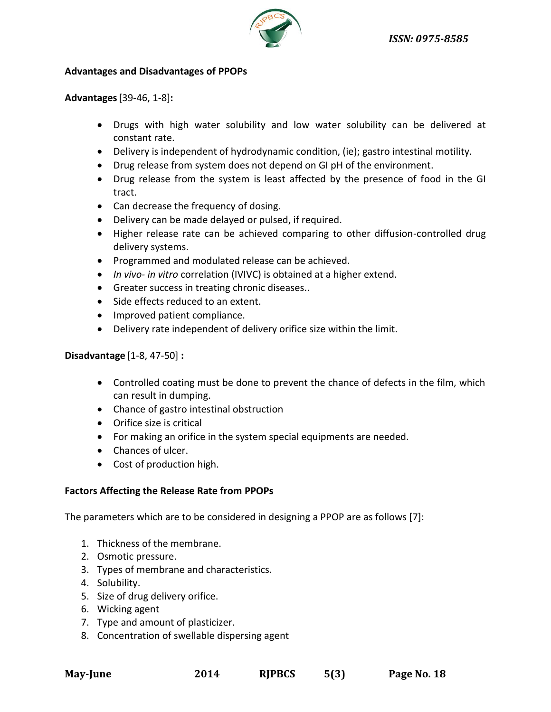

### **Advantages and Disadvantages of PPOPs**

**Advantages**[39-46, 1-8]**:**

- Drugs with high water solubility and low water solubility can be delivered at constant rate.
- Delivery is independent of hydrodynamic condition, (ie); gastro intestinal motility.
- Drug release from system does not depend on GI pH of the environment.
- Drug release from the system is least affected by the presence of food in the GI tract.
- Can decrease the frequency of dosing.
- Delivery can be made delayed or pulsed, if required.
- Higher release rate can be achieved comparing to other diffusion-controlled drug delivery systems.
- Programmed and modulated release can be achieved.
- *In vivo- in vitro* correlation (IVIVC) is obtained at a higher extend.
- Greater success in treating chronic diseases..
- Side effects reduced to an extent.
- Improved patient compliance.
- Delivery rate independent of delivery orifice size within the limit.

**Disadvantage** [1-8, 47-50] **:**

- Controlled coating must be done to prevent the chance of defects in the film, which can result in dumping.
- Chance of gastro intestinal obstruction
- Orifice size is critical
- For making an orifice in the system special equipments are needed.
- Chances of ulcer.
- Cost of production high.

# **Factors Affecting the Release Rate from PPOPs**

The parameters which are to be considered in designing a PPOP are as follows [7]:

- 1. Thickness of the membrane.
- 2. Osmotic pressure.
- 3. Types of membrane and characteristics.
- 4. Solubility.
- 5. Size of drug delivery orifice.
- 6. Wicking agent
- 7. Type and amount of plasticizer.
- 8. Concentration of swellable dispersing agent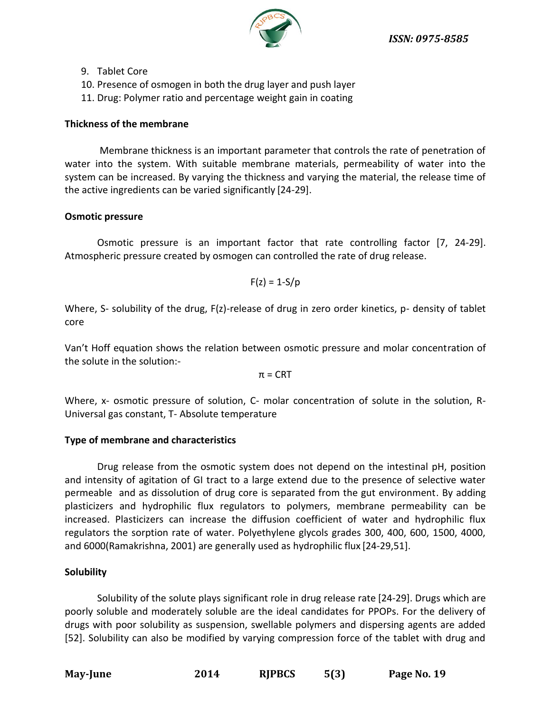

- 9. Tablet Core
- 10. Presence of osmogen in both the drug layer and push layer
- 11. Drug: Polymer ratio and percentage weight gain in coating

# **Thickness of the membrane**

Membrane thickness is an important parameter that controls the rate of penetration of water into the system. With suitable membrane materials, permeability of water into the system can be increased. By varying the thickness and varying the material, the release time of the active ingredients can be varied significantly [24-29].

# **Osmotic pressure**

Osmotic pressure is an important factor that rate controlling factor [7, 24-29]. Atmospheric pressure created by osmogen can controlled the rate of drug release.

$$
F(z) = 1-S/p
$$

Where, S- solubility of the drug, F(z)-release of drug in zero order kinetics, p- density of tablet core

Van't Hoff equation shows the relation between osmotic pressure and molar concentration of the solute in the solution:-

 $\pi$  = CRT

Where, x- osmotic pressure of solution, C- molar concentration of solute in the solution, R-Universal gas constant, T- Absolute temperature

# **Type of membrane and characteristics**

Drug release from the osmotic system does not depend on the intestinal pH, position and intensity of agitation of GI tract to a large extend due to the presence of selective water permeable and as dissolution of drug core is separated from the gut environment. By adding plasticizers and hydrophilic flux regulators to polymers, membrane permeability can be increased. Plasticizers can increase the diffusion coefficient of water and hydrophilic flux regulators the sorption rate of water. Polyethylene glycols grades 300, 400, 600, 1500, 4000, and 6000(Ramakrishna, 2001) are generally used as hydrophilic flux [24-29,51].

# **Solubility**

Solubility of the solute plays significant role in drug release rate [24-29]. Drugs which are poorly soluble and moderately soluble are the ideal candidates for PPOPs. For the delivery of drugs with poor solubility as suspension, swellable polymers and dispersing agents are added [52]. Solubility can also be modified by varying compression force of the tablet with drug and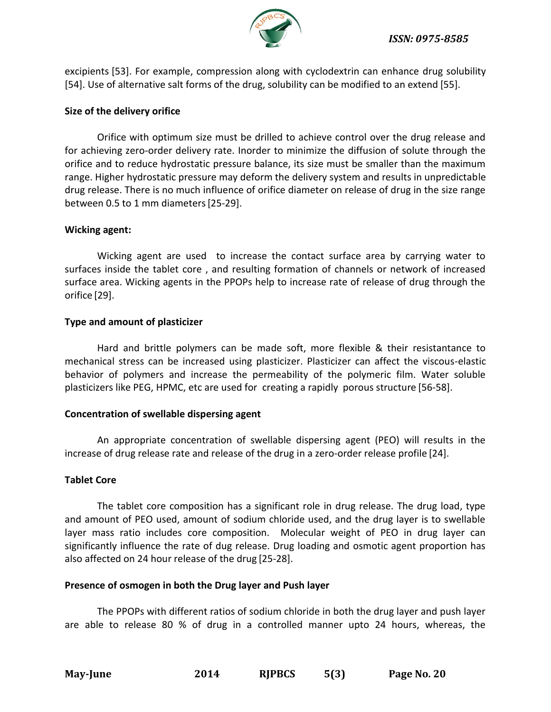

excipients [53]. For example, compression along with cyclodextrin can enhance drug solubility [54]. Use of alternative salt forms of the drug, solubility can be modified to an extend [55].

# **Size of the delivery orifice**

Orifice with optimum size must be drilled to achieve control over the drug release and for achieving zero-order delivery rate. Inorder to minimize the diffusion of solute through the orifice and to reduce hydrostatic pressure balance, its size must be smaller than the maximum range. Higher hydrostatic pressure may deform the delivery system and results in unpredictable drug release. There is no much influence of orifice diameter on release of drug in the size range between 0.5 to 1 mm diameters[25-29].

# **Wicking agent:**

Wicking agent are used to increase the contact surface area by carrying water to surfaces inside the tablet core , and resulting formation of channels or network of increased surface area. Wicking agents in the PPOPs help to increase rate of release of drug through the orifice [29].

# **Type and amount of plasticizer**

Hard and brittle polymers can be made soft, more flexible & their resistantance to mechanical stress can be increased using plasticizer. Plasticizer can affect the viscous-elastic behavior of polymers and increase the permeability of the polymeric film. Water soluble plasticizers like PEG, HPMC, etc are used for creating a rapidly porous structure [56-58].

### **Concentration of swellable dispersing agent**

An appropriate concentration of swellable dispersing agent (PEO) will results in the increase of drug release rate and release of the drug in a zero-order release profile [24].

# **Tablet Core**

The tablet core composition has a significant role in drug release. The drug load, type and amount of PEO used, amount of sodium chloride used, and the drug layer is to swellable layer mass ratio includes core composition. Molecular weight of PEO in drug layer can significantly influence the rate of dug release. Drug loading and osmotic agent proportion has also affected on 24 hour release of the drug [25-28].

### **Presence of osmogen in both the Drug layer and Push layer**

The PPOPs with different ratios of sodium chloride in both the drug layer and push layer are able to release 80 % of drug in a controlled manner upto 24 hours, whereas, the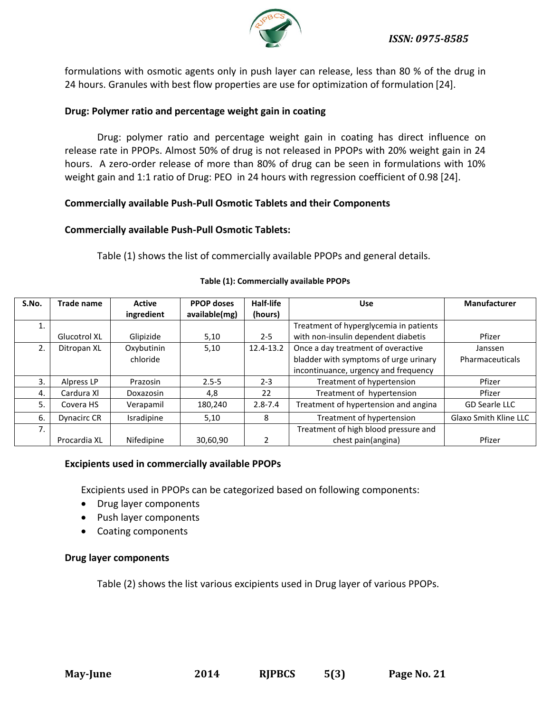

formulations with osmotic agents only in push layer can release, less than 80 % of the drug in 24 hours. Granules with best flow properties are use for optimization of formulation [24].

# **Drug: Polymer ratio and percentage weight gain in coating**

Drug: polymer ratio and percentage weight gain in coating has direct influence on release rate in PPOPs. Almost 50% of drug is not released in PPOPs with 20% weight gain in 24 hours. A zero-order release of more than 80% of drug can be seen in formulations with 10% weight gain and 1:1 ratio of Drug: PEO in 24 hours with regression coefficient of 0.98 [24].

# **Commercially available Push-Pull Osmotic Tablets and their Components**

# **Commercially available Push-Pull Osmotic Tablets:**

Table (1) shows the list of commercially available PPOPs and general details.

| S.No. | Trade name         | <b>Active</b> | <b>PPOP doses</b> | Half-life   | <b>Use</b>                             | <b>Manufacturer</b>          |
|-------|--------------------|---------------|-------------------|-------------|----------------------------------------|------------------------------|
|       |                    | ingredient    | available(mg)     | (hours)     |                                        |                              |
|       |                    |               |                   |             | Treatment of hyperglycemia in patients |                              |
|       | Glucotrol XL       | Glipizide     | 5,10              | $2 - 5$     | with non-insulin dependent diabetis    | Pfizer                       |
| 2.    | Ditropan XL        | Oxybutinin    | 5,10              | 12.4-13.2   | Once a day treatment of overactive     | Janssen                      |
|       |                    | chloride      |                   |             | bladder with symptoms of urge urinary  | Pharmaceuticals              |
|       |                    |               |                   |             | incontinuance, urgency and frequency   |                              |
| 3.    | Alpress LP         | Prazosin      | $2.5 - 5$         | $2 - 3$     | Treatment of hypertension              | Pfizer                       |
| 4.    | Cardura XI         | Doxazosin     | 4,8               | 22          | Treatment of hypertension              | Pfizer                       |
| 5.    | Covera HS          | Verapamil     | 180,240           | $2.8 - 7.4$ | Treatment of hypertension and angina   | <b>GD Searle LLC</b>         |
| 6.    | <b>Dynacirc CR</b> | Isradipine    | 5,10              | 8           | Treatment of hypertension              | <b>Glaxo Smith Kline LLC</b> |
| 7.    |                    |               |                   |             | Treatment of high blood pressure and   |                              |
|       | Procardia XL       | Nifedipine    | 30,60,90          |             | chest pain(angina)                     | Pfizer                       |

### **Table (1): Commercially available PPOPs**

# **Excipients used in commercially available PPOPs**

Excipients used in PPOPs can be categorized based on following components:

- Drug layer components
- Push layer components
- Coating components

# **Drug layer components**

Table (2) shows the list various excipients used in Drug layer of various PPOPs.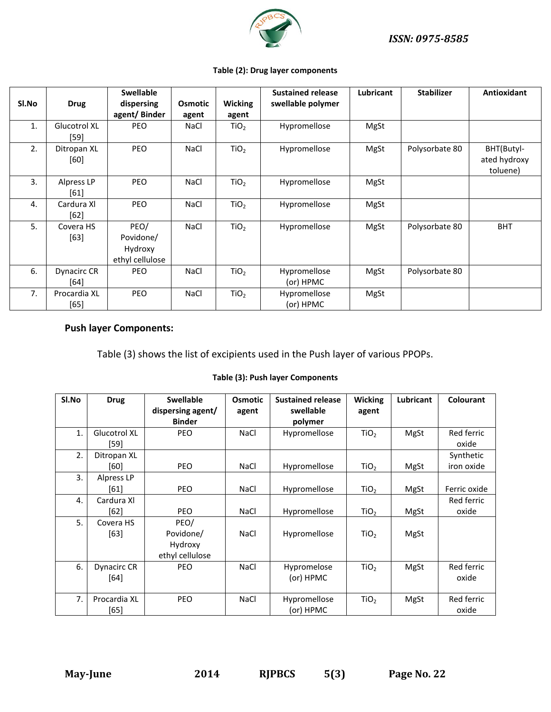

#### **Table (2): Drug layer components**

| SI.No | <b>Drug</b>                   | <b>Swellable</b><br>dispersing<br>agent/Binder  | <b>Osmotic</b><br>agent | <b>Wicking</b><br>agent | <b>Sustained release</b><br>swellable polymer | <b>Lubricant</b> | <b>Stabilizer</b> | <b>Antioxidant</b>                     |
|-------|-------------------------------|-------------------------------------------------|-------------------------|-------------------------|-----------------------------------------------|------------------|-------------------|----------------------------------------|
| 1.    | <b>Glucotrol XL</b><br>$[59]$ | <b>PEO</b>                                      | <b>NaCl</b>             | TiO <sub>2</sub>        | Hypromellose                                  | MgSt             |                   |                                        |
| 2.    | Ditropan XL<br>[60]           | PEO                                             | <b>NaCl</b>             | TiO <sub>2</sub>        | Hypromellose                                  | MgSt             | Polysorbate 80    | BHT(Butyl-<br>ated hydroxy<br>toluene) |
| 3.    | Alpress LP<br>$[61]$          | <b>PEO</b>                                      | <b>NaCl</b>             | TiO <sub>2</sub>        | Hypromellose                                  | MgSt             |                   |                                        |
| 4.    | Cardura XI<br>$[62]$          | PEO                                             | NaCl                    | TiO <sub>2</sub>        | Hypromellose                                  | MgSt             |                   |                                        |
| 5.    | Covera HS<br>$[63]$           | PEO/<br>Povidone/<br>Hydroxy<br>ethyl cellulose | <b>NaCl</b>             | TiO <sub>2</sub>        | Hypromellose                                  | MgSt             | Polysorbate 80    | <b>BHT</b>                             |
| 6.    | Dynacirc CR<br>[64]           | <b>PEO</b>                                      | <b>NaCl</b>             | TiO <sub>2</sub>        | Hypromellose<br>(or) HPMC                     | MgSt             | Polysorbate 80    |                                        |
| 7.    | Procardia XL<br>[65]          | PEO                                             | <b>NaCl</b>             | TiO <sub>2</sub>        | Hypromellose<br>(or) HPMC                     | MgSt             |                   |                                        |

# **Push layer Components:**

Table (3) shows the list of excipients used in the Push layer of various PPOPs.

#### **Table (3): Push layer Components**

| SI.No | <b>Drug</b>  | <b>Swellable</b>  | <b>Osmotic</b> | <b>Sustained release</b> | <b>Wicking</b>   | <b>Lubricant</b> | Colourant    |
|-------|--------------|-------------------|----------------|--------------------------|------------------|------------------|--------------|
|       |              | dispersing agent/ | agent          | swellable                | agent            |                  |              |
|       |              | <b>Binder</b>     |                | polymer                  |                  |                  |              |
| 1.    | Glucotrol XL | <b>PEO</b>        | <b>NaCl</b>    | Hypromellose             | TiO <sub>2</sub> | MgSt             | Red ferric   |
|       | [59]         |                   |                |                          |                  |                  | oxide        |
| 2.    | Ditropan XL  |                   |                |                          |                  |                  | Synthetic    |
|       | [60]         | <b>PEO</b>        | <b>NaCl</b>    | Hypromellose             | TiO <sub>2</sub> | MgSt             | iron oxide   |
| 3.    | Alpress LP   |                   |                |                          |                  |                  |              |
|       | [61]         | <b>PEO</b>        | <b>NaCl</b>    | Hypromellose             | TiO <sub>2</sub> | MgSt             | Ferric oxide |
| 4.    | Cardura XI   |                   |                |                          |                  |                  | Red ferric   |
|       | $[62]$       | <b>PEO</b>        | <b>NaCl</b>    | Hypromellose             | TiO <sub>2</sub> | MgSt             | oxide        |
| 5.    | Covera HS    | PEO/              |                |                          |                  |                  |              |
|       | [63]         | Povidone/         | <b>NaCl</b>    | Hypromellose             | TiO <sub>2</sub> | MgSt             |              |
|       |              | Hydroxy           |                |                          |                  |                  |              |
|       |              | ethyl cellulose   |                |                          |                  |                  |              |
| 6.    | Dynacirc CR  | PEO               | <b>NaCl</b>    | Hypromelose              | TiO <sub>2</sub> | MgSt             | Red ferric   |
|       | [64]         |                   |                | (or) HPMC                |                  |                  | oxide        |
|       |              |                   |                |                          |                  |                  |              |
| 7.    | Procardia XL | <b>PEO</b>        | <b>NaCl</b>    | Hypromellose             | TiO <sub>2</sub> | MgSt             | Red ferric   |
|       | [65]         |                   |                | (or) HPMC                |                  |                  | oxide        |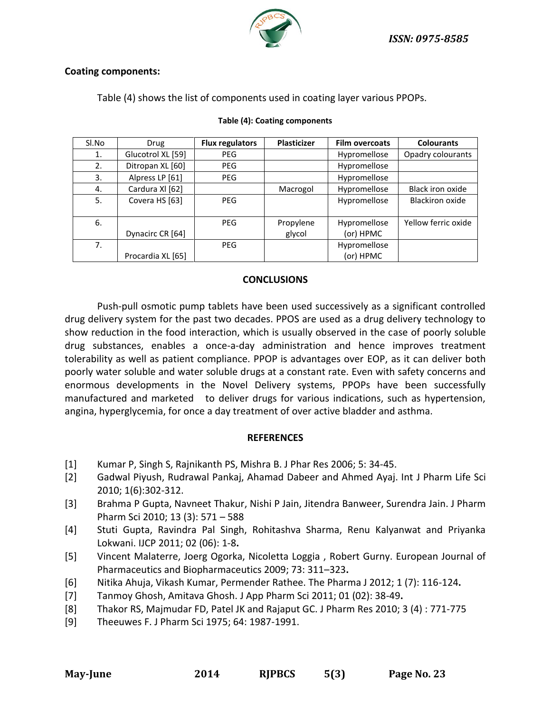*ISSN: 0975-8585*



### **Coating components:**

Table (4) shows the list of components used in coating layer various PPOPs.

| Sl.No | Drug              | <b>Flux regulators</b> | <b>Plasticizer</b>  | <b>Film overcoats</b>     | <b>Colourants</b>   |
|-------|-------------------|------------------------|---------------------|---------------------------|---------------------|
| 1.    | Glucotrol XL [59] | <b>PEG</b>             |                     | Hypromellose              | Opadry colourants   |
| 2.    | Ditropan XL [60]  | <b>PEG</b>             |                     | Hypromellose              |                     |
| 3.    | Alpress LP [61]   | <b>PEG</b>             |                     | Hypromellose              |                     |
| 4.    | Cardura XI [62]   |                        | Macrogol            | Hypromellose              | Black iron oxide    |
| 5.    | Covera HS [63]    | <b>PEG</b>             |                     | Hypromellose              | Blackiron oxide     |
| 6.    | Dynacirc CR [64]  | <b>PEG</b>             | Propylene<br>glycol | Hypromellose<br>(or) HPMC | Yellow ferric oxide |
| 7.    |                   | <b>PEG</b>             |                     | Hypromellose              |                     |
|       | Procardia XL [65] |                        |                     | (or) HPMC                 |                     |

#### **Table (4): Coating components**

#### **CONCLUSIONS**

Push-pull osmotic pump tablets have been used successively as a significant controlled drug delivery system for the past two decades. PPOS are used as a drug delivery technology to show reduction in the food interaction, which is usually observed in the case of poorly soluble drug substances, enables a once-a-day administration and hence improves treatment tolerability as well as patient compliance. PPOP is advantages over EOP, as it can deliver both poorly water soluble and water soluble drugs at a constant rate. Even with safety concerns and enormous developments in the Novel Delivery systems, PPOPs have been successfully manufactured and marketed to deliver drugs for various indications, such as hypertension, angina, hyperglycemia, for once a day treatment of over active bladder and asthma.

### **REFERENCES**

- [1] Kumar P, Singh S, Rajnikanth PS, Mishra B. J Phar Res 2006; 5: 34-45.
- [2] Gadwal Piyush, Rudrawal Pankaj, Ahamad Dabeer and Ahmed Ayaj. Int J Pharm Life Sci 2010; 1(6):302-312.
- [3] Brahma P Gupta, Navneet Thakur, Nishi P Jain, Jitendra Banweer, Surendra Jain. J Pharm Pharm Sci 2010; 13 (3): 571 – 588
- [4] Stuti Gupta, Ravindra Pal Singh, Rohitashva Sharma, Renu Kalyanwat and Priyanka Lokwani. IJCP 2011; 02 (06): 1-8**.**
- [5] Vincent Malaterre, Joerg Ogorka, Nicoletta Loggia , Robert Gurny. European Journal of Pharmaceutics and Biopharmaceutics 2009; 73: 311–323**.**
- [6] Nitika Ahuja, Vikash Kumar, Permender Rathee. The Pharma J 2012; 1 (7): 116-124**.**
- [7] Tanmoy Ghosh, Amitava Ghosh. J App Pharm Sci 2011; 01 (02): 38-49**.**
- [8] Thakor RS, Majmudar FD, Patel JK and Rajaput GC. J Pharm Res 2010; 3 (4) : 771-775
- [9] Theeuwes F. J Pharm Sci 1975; 64: 1987-1991.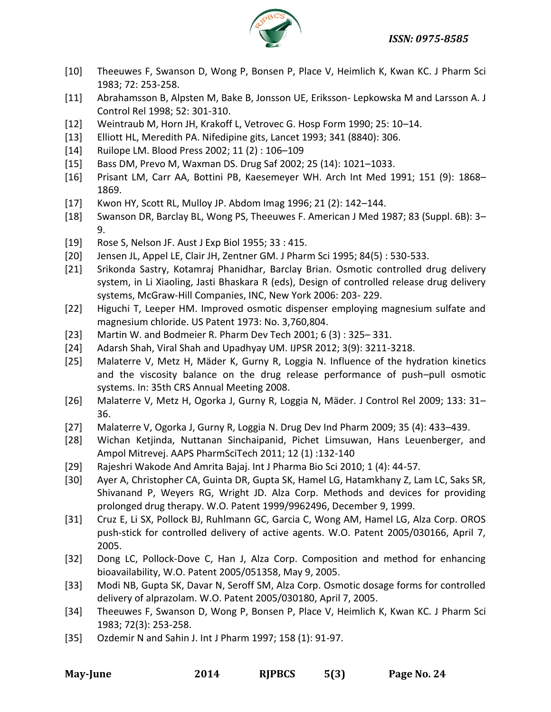# *ISSN: 0975-8585*



- [10] Theeuwes F, Swanson D, Wong P, Bonsen P, Place V, Heimlich K, Kwan KC. J Pharm Sci 1983; 72: 253-258.
- [11] Abrahamsson B, Alpsten M, Bake B, Jonsson UE, Eriksson- Lepkowska M and Larsson A. J Control Rel 1998; 52: 301-310.
- [12] Weintraub M, Horn JH, Krakoff L, Vetrovec G. Hosp Form 1990; 25: 10–14.
- [13] Elliott HL, Meredith PA. Nifedipine gits, Lancet 1993; 341 (8840): 306.
- [14] Ruilope LM. Blood Press 2002; 11 (2) : 106–109
- [15] Bass DM, Prevo M, Waxman DS. Drug Saf 2002; 25 (14): 1021–1033.
- [16] Prisant LM, Carr AA, Bottini PB, Kaesemeyer WH. Arch Int Med 1991; 151 (9): 1868– 1869.
- [17] Kwon HY, Scott RL, Mulloy JP. Abdom Imag 1996; 21 (2): 142–144.
- [18] Swanson DR, Barclay BL, Wong PS, Theeuwes F. American J Med 1987; 83 (Suppl. 6B): 3– 9.
- [19] Rose S, Nelson JF. Aust J Exp Biol 1955; 33 : 415.
- [20] Jensen JL, Appel LE, Clair JH, Zentner GM. J Pharm Sci 1995; 84(5) : 530-533.
- [21] Srikonda Sastry, Kotamraj Phanidhar, Barclay Brian. Osmotic controlled drug delivery system, in Li Xiaoling, Jasti Bhaskara R (eds), Design of controlled release drug delivery systems, McGraw-Hill Companies, INC, New York 2006: 203- 229.
- [22] Higuchi T, Leeper HM. Improved osmotic dispenser employing magnesium sulfate and magnesium chloride. US Patent 1973: No. 3,760,804.
- [23] Martin W. and Bodmeier R. Pharm Dev Tech 2001; 6 (3) : 325– 331.
- [24] Adarsh Shah, Viral Shah and Upadhyay UM. IJPSR 2012; 3(9): 3211-3218.
- [25] Malaterre V, Metz H, Mäder K, Gurny R, Loggia N. Influence of the hydration kinetics and the viscosity balance on the drug release performance of push–pull osmotic systems. In: 35th CRS Annual Meeting 2008.
- [26] Malaterre V, Metz H, Ogorka J, Gurny R, Loggia N, Mäder. J Control Rel 2009; 133: 31– 36.
- [27] Malaterre V, Ogorka J, Gurny R, Loggia N. Drug Dev Ind Pharm 2009; 35 (4): 433–439.
- [28] Wichan Ketjinda, Nuttanan Sinchaipanid, Pichet Limsuwan, Hans Leuenberger, and Ampol Mitrevej. AAPS PharmSciTech 2011; 12 (1) :132-140
- [29] Rajeshri Wakode And Amrita Bajaj. Int J Pharma Bio Sci 2010; 1 (4): 44-57.
- [30] Ayer A, Christopher CA, Guinta DR, Gupta SK, Hamel LG, Hatamkhany Z, Lam LC, Saks SR, Shivanand P, Weyers RG, Wright JD. Alza Corp. Methods and devices for providing prolonged drug therapy. W.O. Patent 1999/9962496, December 9, 1999.
- [31] Cruz E, Li SX, Pollock BJ, Ruhlmann GC, Garcia C, Wong AM, Hamel LG, Alza Corp. OROS push-stick for controlled delivery of active agents. W.O. Patent 2005/030166, April 7, 2005.
- [32] Dong LC, Pollock-Dove C, Han J, Alza Corp. Composition and method for enhancing bioavailability, W.O. Patent 2005/051358, May 9, 2005.
- [33] Modi NB, Gupta SK, Davar N, Seroff SM, Alza Corp. Osmotic dosage forms for controlled delivery of alprazolam. W.O. Patent 2005/030180, April 7, 2005.
- [34] Theeuwes F, Swanson D, Wong P, Bonsen P, Place V, Heimlich K, Kwan KC. J Pharm Sci 1983; 72(3): 253-258.
- [35] Ozdemir N and Sahin J. Int J Pharm 1997; 158 (1): 91-97.